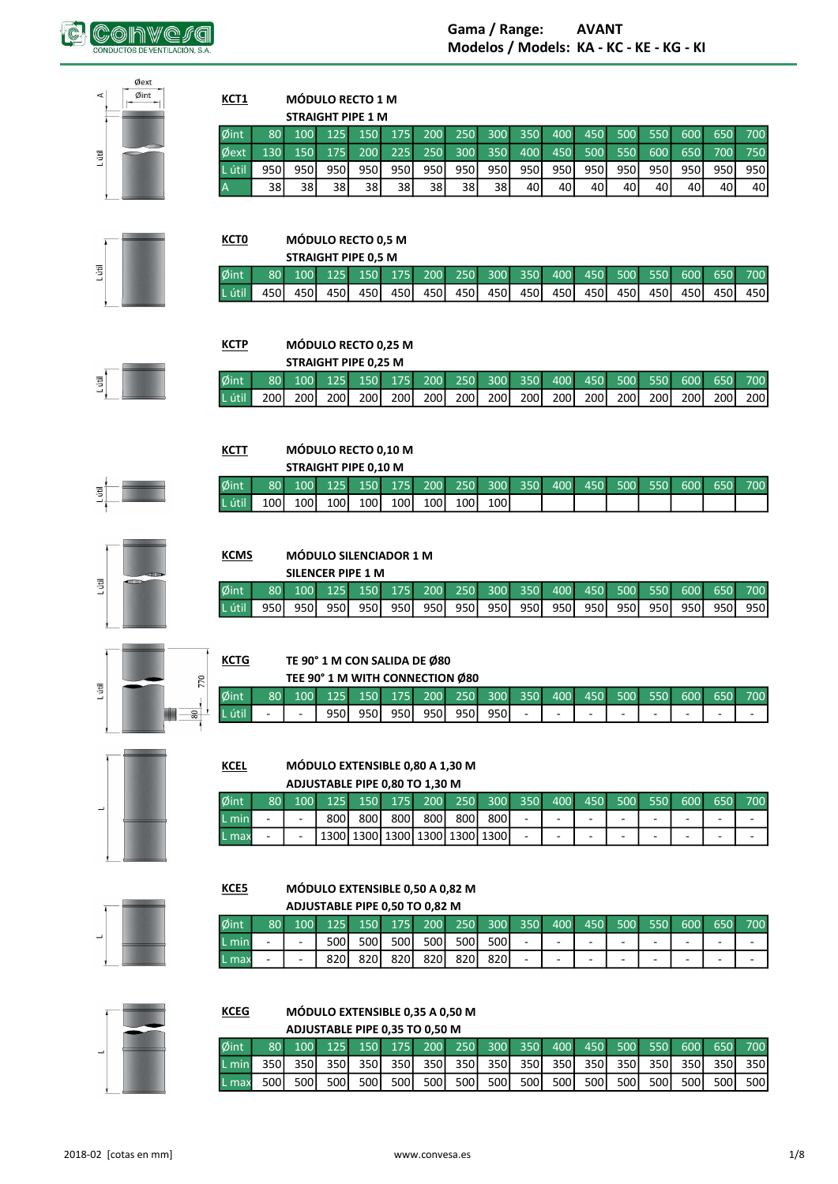

| Øext         |                         |           |                                 |            |            |            |            |            |            |            |            |            |            |            |            |            |            |
|--------------|-------------------------|-----------|---------------------------------|------------|------------|------------|------------|------------|------------|------------|------------|------------|------------|------------|------------|------------|------------|
| Øint<br>工    | KCT1                    |           | <b>MÓDULO RECTO 1 M</b>         |            |            |            |            |            |            |            |            |            |            |            |            |            |            |
|              | Øint                    | 80        | <b>STRAIGHT PIPE 1 M</b><br>100 | 125        | 150        | 175        | 200        | 250        | 300        | 350        | 400        | 450        | 500        | 550        | 600        | 650        | 700        |
| Ę            | Øext                    | 130       | 150                             | 175        | 200        | 225        | 250        | 300        | 350        | 400        | 450        | 500        | 550        | 600        | 650        | 700        | 750        |
|              | . útil                  | 950       | 950                             | 950        | 950        | 950        | 950        | 950        | 950        | 950        | 950        | 950        | 950        | 950        | 950        | 950        | 950        |
|              | A                       | 38        | 38                              | 38         | 38         | 38         | 38         | 38         | 38         | 40         | 40         | 40         | 40         | 40         | 40         | 40         | 40         |
|              |                         |           |                                 |            |            |            |            |            |            |            |            |            |            |            |            |            |            |
|              | <b>KCTO</b>             |           | MÓDULO RECTO 0,5 M              |            |            |            |            |            |            |            |            |            |            |            |            |            |            |
|              |                         |           | <b>STRAIGHT PIPE 0,5 M</b>      |            |            |            |            |            |            |            |            |            |            |            |            |            |            |
| Lútil        | Øint                    | 80        | 100                             | 125        | 150        | 175        | 200        | 250        | 300        | 350        | 400        | 450        | 500        | 550        | 600        | 650        | 700        |
|              | útil                    | 450       | 450                             | 450        | 450        | 450        | 450        | 450        | 450        | 450        | 450        | 450        | 450        | 450        | 450        | 450        | 450        |
|              |                         |           |                                 |            |            |            |            |            |            |            |            |            |            |            |            |            |            |
|              | <b>KCTP</b>             |           | MÓDULO RECTO 0,25 M             |            |            |            |            |            |            |            |            |            |            |            |            |            |            |
|              |                         |           | <b>STRAIGHT PIPE 0,25 M</b>     |            |            |            |            |            |            |            |            |            |            |            |            |            |            |
| E            | Øint<br>útil            | 80<br>200 | 100<br>200                      | 125<br>200 | 150        | 175        | 200        | 250<br>200 | 300<br>200 | 350        | 400        | 450<br>200 | 500<br>200 | 550        | 600        | 650        | 700        |
|              |                         |           |                                 |            | 200        | 200        | 200        |            |            | 200        | 200        |            |            | 200        | 200        | 200        | 200        |
|              |                         |           |                                 |            |            |            |            |            |            |            |            |            |            |            |            |            |            |
|              | <b>KCTT</b>             |           | MÓDULO RECTO 0,10 M             |            |            |            |            |            |            |            |            |            |            |            |            |            |            |
|              |                         |           | STRAIGHT PIPE 0,10 M            |            |            |            |            |            |            |            |            |            |            |            |            |            |            |
| Lútil        | Øint<br>útil            | 80<br>100 | 100<br>100                      | 125<br>100 | 150<br>100 | 175<br>100 | 200<br>100 | 250<br>100 | 300<br>100 | 350        | 400        | 450        | 500        | 550        | 600        | 650        | 700        |
|              |                         |           |                                 |            |            |            |            |            |            |            |            |            |            |            |            |            |            |
|              |                         |           |                                 |            |            |            |            |            |            |            |            |            |            |            |            |            |            |
|              | <b>KCMS</b>             |           | <b>MÓDULO SILENCIADOR 1 M</b>   |            |            |            |            |            |            |            |            |            |            |            |            |            |            |
| Lútil        |                         |           | <b>SILENCER PIPE 1 M</b>        |            |            |            |            |            |            |            |            |            |            |            |            |            |            |
|              | Øint<br>útil            | 80<br>950 | 100<br>950                      | 125<br>950 | 150<br>950 | 175<br>950 | 200<br>950 | 250<br>950 | 300<br>950 | 350<br>950 | 400<br>950 | 450<br>950 | 500<br>950 | 550<br>950 | 600<br>950 | 650<br>950 | 700<br>950 |
|              |                         |           |                                 |            |            |            |            |            |            |            |            |            |            |            |            |            |            |
|              |                         |           |                                 |            |            |            |            |            |            |            |            |            |            |            |            |            |            |
|              | <b>KCTG</b>             |           | TE 90° 1 M CON SALIDA DE Ø80    |            |            |            |            |            |            |            |            |            |            |            |            |            |            |
| 770<br>Lútil |                         |           | TEE 90° 1 M WITH CONNECTION Ø80 |            |            |            |            |            |            |            |            |            |            |            |            |            |            |
| င္တ          | $\emptyset$ int<br>útil | 80        | 100                             | 125<br>950 | 150<br>950 | 175<br>950 | 200<br>950 | 250<br>950 | 300<br>950 | 350        | 400        | 450        | 500        | 550        | 600        | 650        | 700        |
|              |                         |           |                                 |            |            |            |            |            |            |            |            |            |            |            |            |            |            |
|              |                         |           |                                 |            |            |            |            |            |            |            |            |            |            |            |            |            |            |
|              | KCFI                    |           | MÓDUIO EXTENSIBLE 0.80 A 1.30 M |            |            |            |            |            |            |            |            |            |            |            |            |            |            |



# MÓDULO EXTENSIBLE 0,80 A 1,30 M<br>ADILISTARI E PIPE O 80 TO 1.20 M

|        |                 |                          |      |      |     | ADJUSTABLE PIPE 0.80 TO 1.30 M |       |                                      |                          |   |            |         |                          |     |     |
|--------|-----------------|--------------------------|------|------|-----|--------------------------------|-------|--------------------------------------|--------------------------|---|------------|---------|--------------------------|-----|-----|
| Øint   | 80 <sup>1</sup> | $\sqrt{100}$             |      |      |     | 125 150 175 200                |       | $1250 - 300 - 350$                   |                          |   | $1400$ 450 | 500 550 | 600                      | 650 | 700 |
| L minl | -               | $\overline{\phantom{a}}$ | 800I | 800I | 800 | 800l                           | 800 l | 8001                                 | $\overline{\phantom{0}}$ | - | ۰          |         | $\overline{\phantom{0}}$ | -   | -   |
| L max  | -               |                          |      |      |     |                                |       | ∣ 1300  1300  1300  1300  1300  1300 | $\overline{\phantom{0}}$ | - | -          |         | $\overline{\phantom{0}}$ | -   | -   |

KCE5

**KCEG** 

## MÓDULO EXTENSIBLE 0,50 A 0,82 M A DUICTABLE DIDE A FA TO A 82 M

|                  |    | ADJUSTABLE PIPE 0.50 TO 0.82 M |                  |                  |      |     |       |                   |     |     |     |     |     |     |     |                          |
|------------------|----|--------------------------------|------------------|------------------|------|-----|-------|-------------------|-----|-----|-----|-----|-----|-----|-----|--------------------------|
| Øint             | 80 | 100                            | 125 <sup>1</sup> | 150 <sup>°</sup> | 175  | 200 | 250   | .300 <sup>1</sup> | 350 | 400 | 450 | 500 | 550 | 600 | 650 | 700                      |
| $\mathsf{L}\min$ |    | $\overline{\phantom{a}}$       | 500l             | 500 l            | 500l | 500 | 500 l | 500               | -   | ۰   | -   | ۰   | ۰   | ۰   |     | $\overline{\phantom{a}}$ |
| L max            | -  | $\overline{\phantom{a}}$       | 820I             | 8201             | 820  | 820 | 820   | 820               | -   | ۰   | -   | -   | -   | -   | -   | $\overline{\phantom{a}}$ |



## MÓDULO EXTENSIBLE 0,35 A 0,50 M A DUISTARIE DIDE A 35 TO A 50 M

|                                |       |                  | ADJUSTABLE PIPE 0.35 TO 0.50 IVI |       |       |         |  |             |                                                                 |         |       |       |     |
|--------------------------------|-------|------------------|----------------------------------|-------|-------|---------|--|-------------|-----------------------------------------------------------------|---------|-------|-------|-----|
| $\emptyset$ int $\blacksquare$ |       |                  |                                  |       |       |         |  |             | (80 100 125 150 175 200 250 300 350 400 450 500 550 600 650 700 |         |       |       |     |
| L min                          |       |                  |                                  |       |       |         |  |             |                                                                 |         |       |       |     |
| L max                          | 500 l | 500 <sup>1</sup> | 500 l                            | 500 l | 500 l | ` 500 I |  | 500 500 500 | 500 500                                                         | 500 500 | 500 l | 500 l | 500 |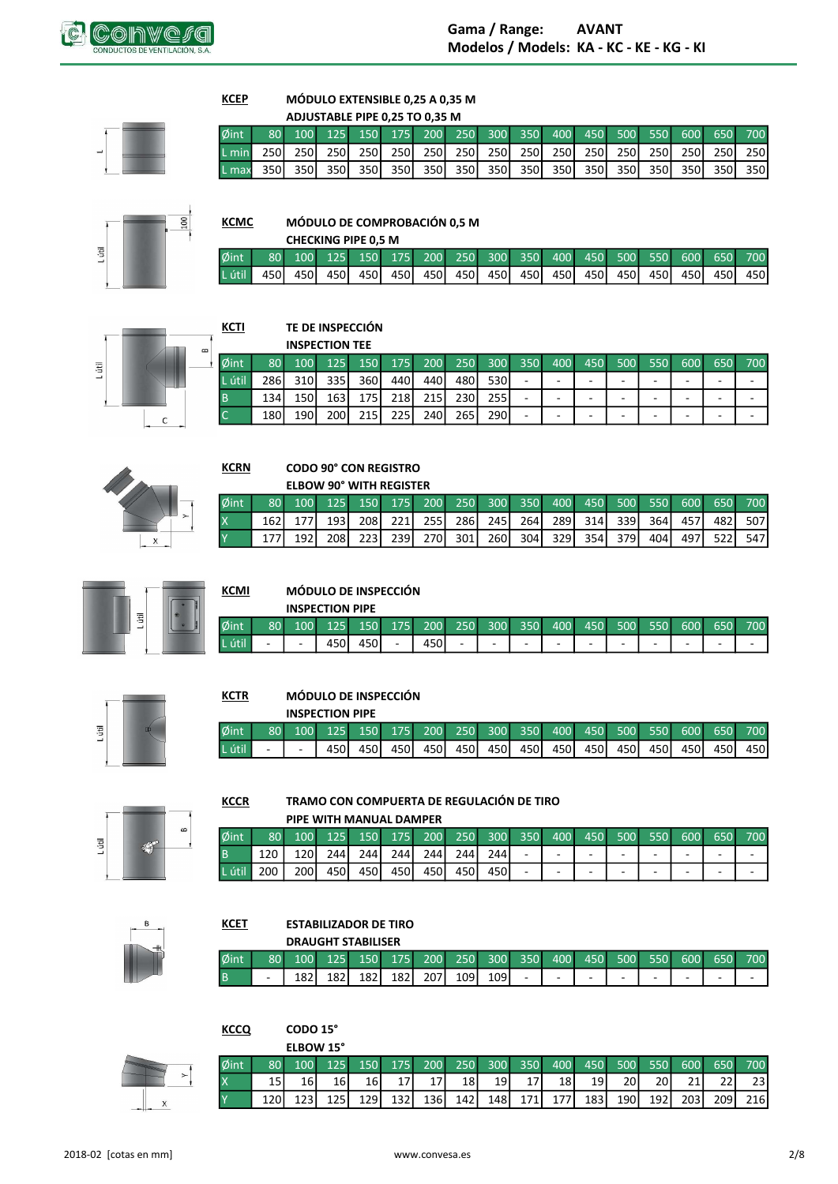

**KCEP** 

**KCMC** 

**KCRN** 

**KCTR** 

**KCCR** 

**KCET** 

**KCCQ** 

 $\begin{array}{c}\n\phi \\
B \\
L\n\end{array}$ 

#### MÓDULO EXTENSIBLE 0,25 A 0,35 M  $\cdots$ and a state of

|            |                 |       |                     | ADJUSTABLE PIPE 0.25 TO 0.35 M |  |  |                                                             |       |       |       |                 |
|------------|-----------------|-------|---------------------|--------------------------------|--|--|-------------------------------------------------------------|-------|-------|-------|-----------------|
| $\phi$ int | 80 <sup>1</sup> |       |                     |                                |  |  | 100 125 150 175 200 250 300 350 400 450 500 550 600 650 700 |       |       |       |                 |
| L min      |                 |       | 250 250 250 250 250 |                                |  |  | 250 250 250 250 250 250 250                                 | 250 l |       |       | 250 250 250 250 |
| L max      | 350 L           | 350 L | 350 350 350         |                                |  |  | 350 350 350 350 350 350 350 350                             |       | 350 l | 350 l | 350l 350l       |



## MÓDULO DE COMPROBACIÓN 0,5 M

|                     |  | <b>CHECKING PIPE 0.5 M</b> |  |  |  |  |  |                                                                |  |
|---------------------|--|----------------------------|--|--|--|--|--|----------------------------------------------------------------|--|
| $\delta$ int $\Box$ |  |                            |  |  |  |  |  | 80 100 125 150 175 200 250 300 350 400 450 500 550 600 650 700 |  |
|                     |  |                            |  |  |  |  |  |                                                                |  |



## TE DE INSPECCIÓN

|        |                 | <b>INSPECTION TEE</b> |                  |              |       |     |         |                  |     |     |     |                          |     |     |     |     |
|--------|-----------------|-----------------------|------------------|--------------|-------|-----|---------|------------------|-----|-----|-----|--------------------------|-----|-----|-----|-----|
| Øint   | 80 <sup>1</sup> | <b>100</b>            | 125              | 150          | 175   |     | 200 250 | 300 <sup>°</sup> | 350 | 400 | 450 | 500                      | 550 | 600 | 650 | 700 |
| L útil | 286I            | 310I                  | 335 <sup>I</sup> | 360          | 440 l | 440 | 480 l   | 5301             | -   | -   | -   | $\overline{\phantom{a}}$ | -   | -   | -   | -   |
|        | 134             | 150 l                 | 1631             | 175 l        | 218   | 215 | 230 l   | 255              | ٠   | -   | -   | $\overline{\phantom{a}}$ | -   | -   | -   | -   |
|        | 180             | 1901                  | 200 <sup>1</sup> | 215 <b>1</b> | 225   | 240 | 265 l   | <b>2901</b>      | -   | -   | -   | $\overline{\phantom{a}}$ | -   | -   | -   | -   |



## **CODO 90° CON REGISTRO** ELROW ON<sup>®</sup> WITH DECISTED

|      |       |       |       | <b>ELDUW YU WIIN KEGISIEK</b>                                       |  |             |                                     |  |     |       |       |                 |
|------|-------|-------|-------|---------------------------------------------------------------------|--|-------------|-------------------------------------|--|-----|-------|-------|-----------------|
| Øint | 80    |       |       | 100   125   150   175   200   250   300   350   400   450   500   1 |  |             |                                     |  |     |       |       | 550 600 650 700 |
|      | 162 l |       | 1931  |                                                                     |  |             | 208 221 255 286 245 264 289 314 339 |  | 364 | 457 I |       | 482 507         |
|      |       | 192 l | 208 I | 223I                                                                |  | 239 270 301 | 260 304 329 354 379                 |  | 404 | 4971  | 522 L | 547 l           |



## **KCMI** MÓDULO DE INSPECCIÓN

|        |      |                          | <b>INSPECTION PIPE</b> |         |                          |         |                          |   |         |                          |     |                          |     |     |     |     |
|--------|------|--------------------------|------------------------|---------|--------------------------|---------|--------------------------|---|---------|--------------------------|-----|--------------------------|-----|-----|-----|-----|
| Øint   | 80 L | 100 <sup>1</sup>         |                        | 125 150 |                          | 175 200 | 250                      |   | 300 350 | 400                      | 450 | 500                      | 550 | 600 | 650 | 700 |
| L útil | -    | $\overline{\phantom{a}}$ | 450                    | 450 l   | $\overline{\phantom{a}}$ | 450     | $\overline{\phantom{0}}$ | - | -       | $\overline{\phantom{0}}$ | -   | $\overline{\phantom{a}}$ | -   | -   | -   | -   |



## MÓDULO DE INSPECCIÓN

|      |                 |                  | <b>INSPECTION PIPE</b> |                     |       |      |       |     |         |     |     |             |     |     |       |       |
|------|-----------------|------------------|------------------------|---------------------|-------|------|-------|-----|---------|-----|-----|-------------|-----|-----|-------|-------|
| ⊅int | 80 <sup>1</sup> | 100 <sup>1</sup> |                        | 125 150 175 200 250 |       |      |       |     | 300 350 |     |     | 400 450 500 | 550 | 600 | 650   | 700   |
|      | $\sim$          | $\sim$           | 450I                   | 450 <b>I</b>        | 450 l | 450l | 450 l | 450 | 450     | 450 | 450 | 450 l       | 450 | 450 | 450 l | 450 l |



## TRAMO CON COMPUERTA DE REGULACIÓN DE TIRO

## PIPE WITH MANUAL DAMPER

| int  | 80  | 100 <sup>1</sup> | 125   | 150 <sup>1</sup> | 175   | <b>200</b> | 250   | 300 <sup>1</sup> | 350 | 400                      | 450 | 500 <sup>1</sup> | 550 | 600 | 650 | 700                      |
|------|-----|------------------|-------|------------------|-------|------------|-------|------------------|-----|--------------------------|-----|------------------|-----|-----|-----|--------------------------|
|      |     | 120I             | 244 l | 244 l            | 244   | 244        | 244 I | 244              |     | $\overline{\phantom{0}}$ | -   | -                |     | -   | -   | $\overline{\phantom{0}}$ |
| útil | 200 | 200 l            | 450   | 450 l            | 450 l | 450        | 450   | 450 l            |     | $\overline{\phantom{a}}$ | -   | -                |     | -   | -   | $\sim$                   |

## **ESTABILIZADOR DE TIRO DRAUGHT STARILISER**

CODO 15°

|      |           |                  |     | <b>UKAUGHI SIABILISEK</b> |       |      |       |       |                                |     |                          |     |                          |                          |     |                          |
|------|-----------|------------------|-----|---------------------------|-------|------|-------|-------|--------------------------------|-----|--------------------------|-----|--------------------------|--------------------------|-----|--------------------------|
| Øint | <b>80</b> | 100 <sup>1</sup> | 125 | 150 <sub>1</sub>          | 175   | 200  |       |       | l 250 = 300 = 350 <sup>"</sup> | 400 | 450                      | 500 | 550                      | 600                      | 650 | 700                      |
| l B  |           | 182 l            | 182 | 182 l                     | 182 l | 2071 | 109 l | 109 l | $\overline{\phantom{0}}$       | -   | $\overline{\phantom{0}}$ | -   | $\overline{\phantom{a}}$ | $\overline{\phantom{0}}$ | -   | $\overline{\phantom{0}}$ |



|            |       | ELBOW 15° |                 |      |                  |                                                                |       |       |                 |         |       |       |     |         |      |                 |
|------------|-------|-----------|-----------------|------|------------------|----------------------------------------------------------------|-------|-------|-----------------|---------|-------|-------|-----|---------|------|-----------------|
| $\phi$ int |       |           |                 |      |                  | 80 100 125 150 175 200 250 300 350 400 450 500 550 600 650 700 |       |       |                 |         |       |       |     |         |      |                 |
|            | 15 I  | 16        | 16 <sup> </sup> | 16 I | 17 I             | 17 <sup>1</sup>                                                | 18 l  | 19 I  | 17 <sup>1</sup> | 18 I    | 19 l  | 20I   | 20I | 21 l    | 22 I | 23 <sub>l</sub> |
| <b>IY</b>  | 120 l | 123 l     | 125 l           | 129  | 132 <sup>1</sup> | 136                                                            | 142 l | 148 I |                 | 171 177 | 183 l | 190 l |     | 192 203 |      | 209 216         |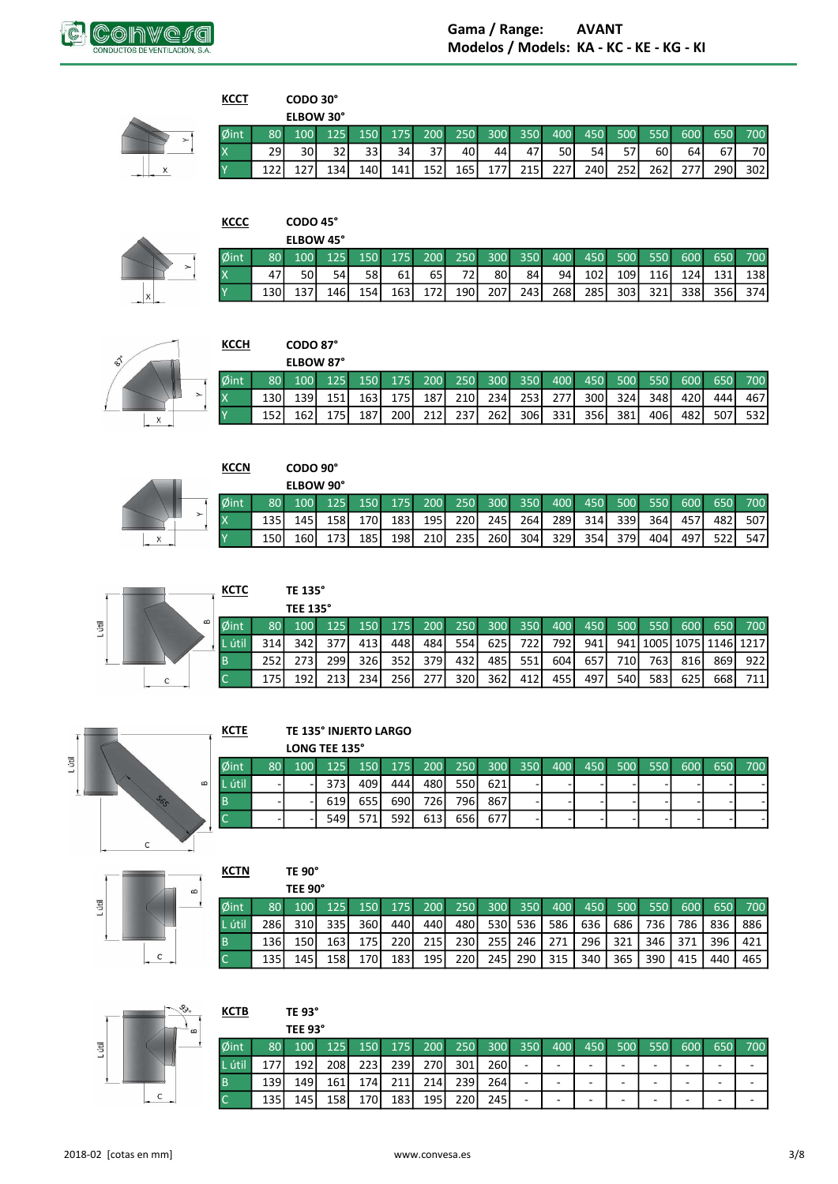



# CODO 30°

**KCCT** 

|      |                 | <b>ELBOW 30°</b> |      |                  |                 |               |       |               |       |       |              |      |                  |      |       |      |
|------|-----------------|------------------|------|------------------|-----------------|---------------|-------|---------------|-------|-------|--------------|------|------------------|------|-------|------|
| Øint | 80 <sup>1</sup> | 100              | 125  |                  |                 | $150$ 175 200 |       | 250 300 350 1 |       |       | 400 450      | 500  | 550              | 600  | 650   | 700  |
|      | 29 l            | 30 I             | 32I  | 33 I             | 34 <sup>1</sup> | 37            | 40 l  | 44 I          | 47    | 50 I  | 54           | 57 I | 60I              | 641  | 67'   | 70I  |
|      |                 |                  | 1341 | 140 <sup> </sup> | 1411            | 152           | 165 l | 177 l         | 215 I | 227 I | 240 <b>1</b> | 252  | 262 <sup>1</sup> | 277I | 290 l | 302l |

| х |  |
|---|--|

| <b>KCCC</b> |       | CODO 45°<br>ELBOW 45° |     |     |                  |            |     |                  |       |      |      |       |            |     |     |     |
|-------------|-------|-----------------------|-----|-----|------------------|------------|-----|------------------|-------|------|------|-------|------------|-----|-----|-----|
| Øint        | 80.   |                       | 125 | 150 | 175              | <b>200</b> | 250 | 300 <sup>°</sup> | 350   | 400  | 450  | 500   | 550        | 600 | 650 | 700 |
|             | 47    | 50                    | 54  | 58  | 61               | 65 I       | 72  | 80               | 841   | 94   | 1021 | 109 l | <b>116</b> | 124 | 131 | 138 |
|             | 130 l | 137                   | 146 | 154 | 163 <sup>1</sup> | 172        | 190 | 207              | 243 l | 268I | 285  | 303   | 321        | 338 | 356 | 374 |



#### $KCCH$ </u> CODO 87° ELBOW 87°  $\emptyset$ int  $\overline{\mathsf{x}}$  $\frac{175}{175}$

|         | <b>KCCN</b> |     | CODO 90°  |     |     |     |     |             |     |     |     |     |     |     |     |     |     |
|---------|-------------|-----|-----------|-----|-----|-----|-----|-------------|-----|-----|-----|-----|-----|-----|-----|-----|-----|
|         |             |     | ELBOW 90° |     |     |     |     |             |     |     |     |     |     |     |     |     |     |
|         | Øint        | 80  | 100       | 125 | 150 | 175 | 200 | 250         | 300 | 350 | 400 | 450 | 500 | 550 | 600 | 650 | 700 |
| $\succ$ |             | 135 | 145       | 158 | 170 | 183 | 195 | <b>2201</b> | 245 | 264 | 289 | 314 | 339 | 364 | 457 | 482 | 507 |
|         |             | 150 | 160       | 173 | 185 | 198 | 210 | 235         | 260 | 304 | 329 | 354 | 379 | 404 | 497 | 522 | 547 |



X

| стс | TE 135°        |
|-----|----------------|
|     | <b>TEE 135</b> |
|     |                |

|                          |                 | <b>TEE 135°</b> |       |              |                  |      |      |       |        |       |       |                  |       |                  |     |                                                             |
|--------------------------|-----------------|-----------------|-------|--------------|------------------|------|------|-------|--------|-------|-------|------------------|-------|------------------|-----|-------------------------------------------------------------|
| 2int                     | 80 <sup>1</sup> |                 |       |              |                  |      |      |       |        |       |       |                  |       |                  |     | 100 125 150 175 200 250 300 350 400 450 500 550 600 650 700 |
| L útil.                  | 314 l           | 342 I           | 377I  | 413          | 448              | 484  | 554  | 625 l | . 7221 | 792 l | 941 l |                  |       |                  |     | 941   1005   1075   1146   1217                             |
|                          | 252 l           |                 | 299 l | 326I         | 352 l            | 379I | 432  | 485   | 551    | 604   | 657I  | 710 <sup>I</sup> | 763 l | 816              | 869 | 922 l                                                       |
| $\overline{\phantom{0}}$ |                 | 192 l           | 213I  | 234 <b>1</b> | 256 <sup>1</sup> | 277  | 320l | 362   | 412    | 455 l | 497   | 540              | 583   | 625 <sup>I</sup> | 668 | 711 <sup> </sup>                                            |



## TE 135° INJERTO LARGO

|            |                 |     | LONG TEE 135° |      |                  |                     |       |     |     |     |     |     |     |     |   |         |
|------------|-----------------|-----|---------------|------|------------------|---------------------|-------|-----|-----|-----|-----|-----|-----|-----|---|---------|
| <i>int</i> | 80 <sup>1</sup> | 100 | 125           |      |                  | 150 175 200 250 300 |       |     | 350 | 400 | 450 | 500 | 550 | 600 |   | 650 700 |
| útil       |                 | -   | 373I          | 409  | 444 l            | 480                 | 550l  | 621 |     |     |     |     |     |     | - |         |
|            |                 |     | 619I          | 655  | 690 <sup>I</sup> | 726                 | 796   | 867 |     |     |     |     | -   |     | - |         |
|            |                 |     | 549 I         | 571I | 5921             | 613                 | 656 l | 677 |     |     |     |     |     |     | - |         |



| KCTN   |       | TE 90°  |       |                  |      |            |       |                  |     |         |     |     |     |     |     |     |
|--------|-------|---------|-------|------------------|------|------------|-------|------------------|-----|---------|-----|-----|-----|-----|-----|-----|
|        |       | TEE 90° |       |                  |      |            |       |                  |     |         |     |     |     |     |     |     |
| Øint   | 80    | 100     | 125   | 150              | 175  | <b>200</b> | 250   | 300 <sup>°</sup> |     | 350 400 | 450 | 500 | 550 | 600 | 650 | 700 |
| L útil | 286I  | 310I    | 335 l | 360l             | 440  | 440I       | 480 l | 530              | 536 | 586     | 636 | 686 | 736 | 786 | 836 | 886 |
| B      | 136 l | 150     | 163 l | 175 <sup>1</sup> | 220I | <b>215</b> | 230I  | 255 l            | 246 | 271     | 296 | 321 | 346 | 371 | 396 | 421 |
| C      | 135   | 145     | 158 l | 170I             | 183  | 195        | 220   | 245              | 290 | 315     | 340 | 365 | 390 | 415 | 440 | 465 |



| <u>KCTB</u> |     | <b>TE 93°</b> |                  |       |     |            |            |     |     |     |     |     |     |     |     |     |
|-------------|-----|---------------|------------------|-------|-----|------------|------------|-----|-----|-----|-----|-----|-----|-----|-----|-----|
|             |     | TEE 93°       |                  |       |     |            |            |     |     |     |     |     |     |     |     |     |
| Øint        | 80  | 100           | 125              | 150   | 175 | <b>200</b> | <b>250</b> | 300 | 350 | 400 | 450 | 500 | 550 | 600 | 650 | 700 |
| L útil      | 177 | 192 l         | 208              | 2231  | 239 | 270I       | 301        | 260 | -   | -   | -   | -   | -   | -   | -   |     |
| <b>B</b>    | 139 | 149 I         | 161 <sub>1</sub> | 174 I | 211 | 214        | 239        | 264 | -   | -   |     | -   | -   |     | -   |     |
| l C         | 135 | 145 l         | 158              | 170   | 183 | 195        | 220        | 245 | -   | -   |     |     | -   |     | -   |     |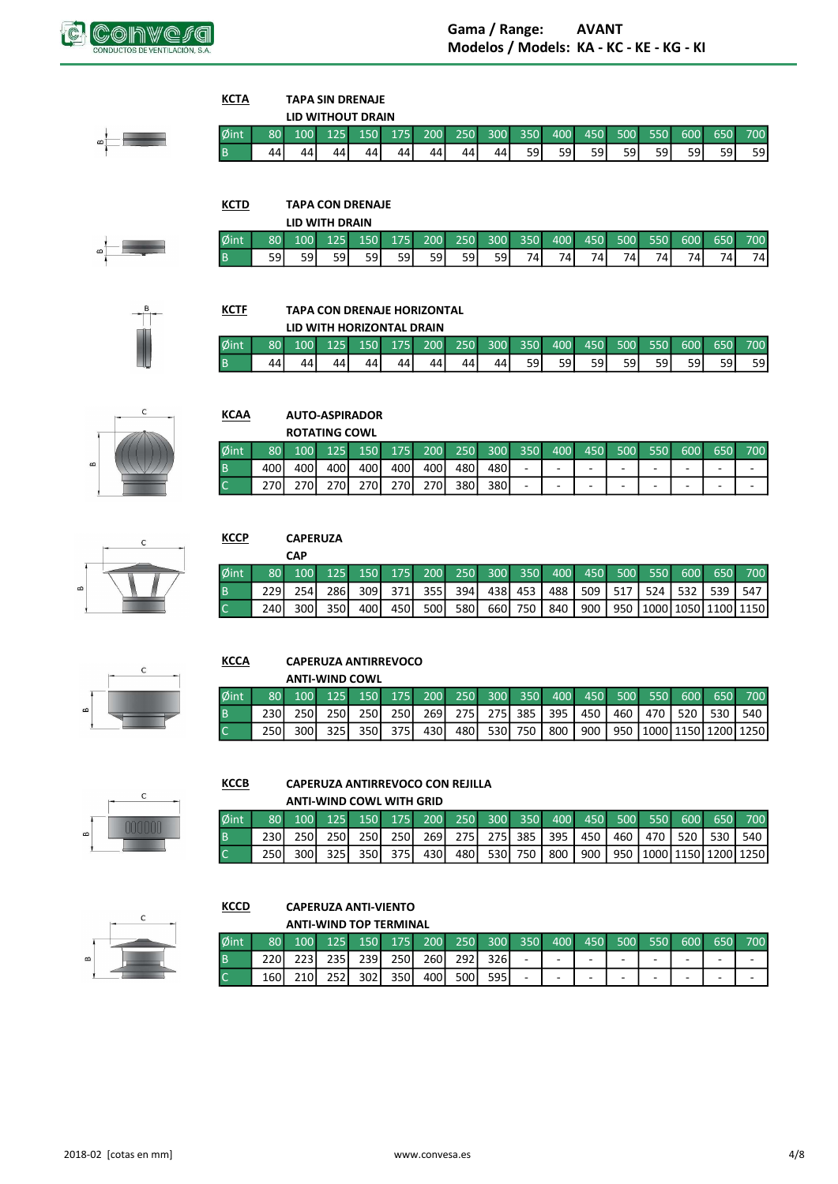

∞¦—∫

| КСТА     |    | <b>TAPA SIN DRENAJE</b> |  |  |
|----------|----|-------------------------|--|--|
|          |    | LID WITHOUT DRAIN       |  |  |
| Øint     |    | 80 100 125 150 175      |  |  |
| <b>B</b> | 44 |                         |  |  |

**KCTF** 

**KCAA** 

 $\emptyset$ int

 $\overline{B}$ 

**KCTD TAPA CON DRENAJE** 

|      |                 |                  | LID WITH DRAIN |                     |     |            |      |         |     |     |      |     |        |     |        |     |
|------|-----------------|------------------|----------------|---------------------|-----|------------|------|---------|-----|-----|------|-----|--------|-----|--------|-----|
| Øint | 80 <sub>1</sub> | 100 <sup>1</sup> | 125            | $\sim$ 150 $\prime$ | 175 | $\sim$ 200 |      | 250 300 | 350 | 400 | 450  | 500 | $-550$ | 600 | 650    | 700 |
| B    | 591             | 591              | 59             | 59 l                | 591 | 591        | 59 l | 59      | 741 | 7Δ  | 74 L | 741 | 741.   | 74, | $74_1$ | 74I |

300

 $44$ 

200

 $\overline{44}$ 

250

 $\overline{44}$ 

350

 $\overline{59}$ 

400

 $\overline{59}$ 

450

 $\overline{59}$ 

500

 $\overline{59}$ 

550

 $59$ 

600

 $\overline{59}$ 

650

 $\overline{59}$ 

700

 $\overline{59}$ 



## **TAPA CON DRENAJE HORIZONTAL**

**AUTO-ASPIRADOR ROTATING COWL** 

125

400

270

150

400

270

200

 $\overline{400}$ 

270

175

400

270

250

480

380

|      |                 |                  |    |         |    | LID WITH HORIZONTAL DRAIN |     |    |         |      |         |                  |     |     |     |      |
|------|-----------------|------------------|----|---------|----|---------------------------|-----|----|---------|------|---------|------------------|-----|-----|-----|------|
| Øint | 80 <sup>1</sup> | 100 <sup>1</sup> |    | 125 150 |    | 175 200                   | 250 |    | 300 350 |      | 400 450 | 500 <sup>2</sup> | 550 | 600 | 650 | 700  |
|      | 44              | ΔΔ               | 44 | 44      | 44 | 44                        | 44' | 44 | 59 I    | 59 l | 59 l    | 59 I             | 591 | 59  | 59  | 59 I |

300

480

380  $\overline{\phantom{a}}$ 

350

 $\bar{\phantom{a}}$ 

400

 $\overline{\phantom{a}}$ 

L,

450

 $\overline{\phantom{a}}$ 

 $\overline{\phantom{a}}$ 

500

 $\overline{\phantom{a}}$ 

÷,

550

 $\blacksquare$ 

 $\overline{\phantom{a}}$ 

600

 $\overline{\phantom{a}}$ 

 $\overline{\phantom{a}}$ 

650

 $\bar{\gamma}$ 

 $\overline{\phantom{a}}$ 

700

 $\sim$ 

 $\overline{\mathcal{L}}$ 



|  | $\mathbf C$ |  |  |
|--|-------------|--|--|

## **KCCP CAPERUZA**

80

400

270

100

400

270

|                             | CAP |  |  |  |  |  |  |                                                                     |
|-----------------------------|-----|--|--|--|--|--|--|---------------------------------------------------------------------|
| $\delta$ int $\blacksquare$ |     |  |  |  |  |  |  | 80 100 125 150 175 200 250 300 350 400 450 500 550 600 650 700      |
|                             |     |  |  |  |  |  |  | 229 254 286 309 371 355 394 438 453 488 509 517 524 532 539 547     |
|                             |     |  |  |  |  |  |  | 240 300 350 400 450 500 580 660 750 840 900 950 1000 1050 1100 1150 |



#### **KCCA CAPERUZA ANTIRREVOCO**

|                 |                 |       |       | <b>ANTI-WIND COWL</b>                                   |     |  |  |  |                                                                 |                                             |
|-----------------|-----------------|-------|-------|---------------------------------------------------------|-----|--|--|--|-----------------------------------------------------------------|---------------------------------------------|
| $\emptyset$ int | 80 <sup>1</sup> |       |       | 100 125 150 175 200 250 300 350 400 450 500 550 600 650 |     |  |  |  |                                                                 | 700                                         |
|                 | 230 I           | 250 L | 250 I | 250 l                                                   |     |  |  |  | 250   269   275   275   385   395   450   460   470   520   530 | 540 I                                       |
|                 | 250 I           | 300 l |       | 325 350 375                                             | 430 |  |  |  |                                                                 | 480 530 750 800 900 950 1000 1150 1200 1250 |



#### **KCCB** CAPERUZA ANTIRREVOCO CON REJILLA ANTI WIND COWL WITH CRID

|                |                 |       |       | ANII-WIND COWL WITH GRID |         |     |       |  |  |  |  |                                                                     |
|----------------|-----------------|-------|-------|--------------------------|---------|-----|-------|--|--|--|--|---------------------------------------------------------------------|
| $\phi$ int     | 80 <sup>1</sup> |       |       |                          |         |     |       |  |  |  |  | 100 125 150 175 200 250 300 350 400 450 500 550 600 650 700         |
| <b>B</b>       |                 |       |       |                          |         |     |       |  |  |  |  | 230 250 250 250 250 250 269 275 275 385 395 450 460 470 520 530 540 |
| $\overline{C}$ | 250 l           | 300 L | 325 . |                          | 350 375 | 430 | 480 l |  |  |  |  | 530 750 800 900 950 1000 1150 1200 1250                             |



#### **KCCD CAPERUZA ANTI-VIENTO** ANTI MUND TOD TEDMINIAL

|      |                 |       |       | ANTI-WIND TOP TERMINAL |       |                  |       |       |                          |     |     |     |                  |     |     |     |
|------|-----------------|-------|-------|------------------------|-------|------------------|-------|-------|--------------------------|-----|-----|-----|------------------|-----|-----|-----|
| Øint | 80 <sub>1</sub> | 100   | 125   | $150$ 175 200          |       |                  | 250   |       | $\sqrt{300}$ 350         | 400 | 450 | 500 | 550 <sup>2</sup> | 600 | 650 | 700 |
|      |                 | 223 I | 235 l | 239I                   | 250 l | <b>260</b>       | 292 l | 326 I | $\overline{\phantom{0}}$ | -   | -   |     | -                | -   | -   |     |
|      | 160             |       | 2521  | 302I                   | 350l  | 400 <sup>1</sup> | 500l  | 595   | $\overline{\phantom{0}}$ | -   | -   |     | -                | -   | -   |     |



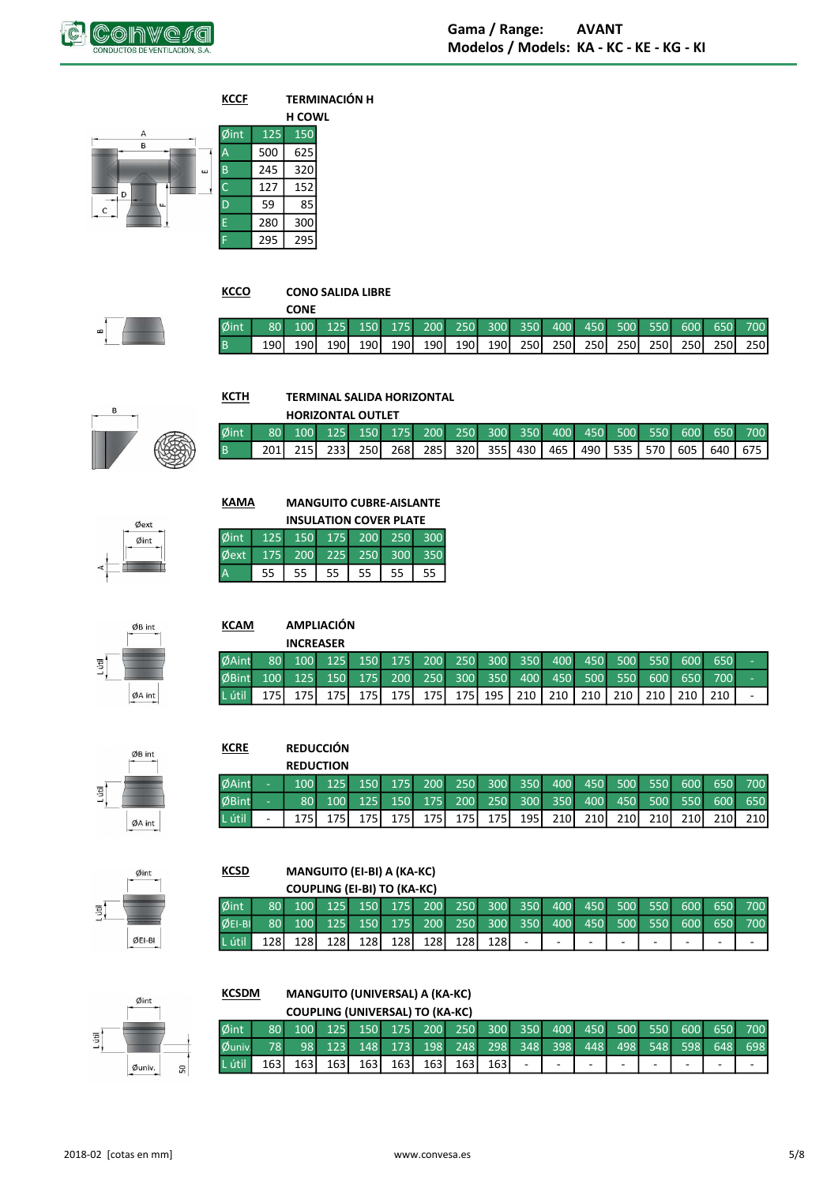



**KCCO** 

**KCTH** 

D

## **CONO SALIDA LIBRE**

|                |                                                                     | <b>CONE</b> |  |  |  |  |  |  |  |
|----------------|---------------------------------------------------------------------|-------------|--|--|--|--|--|--|--|
|                | Øint 80 100 125 150 175 200 250 300 350 400 450 500 550 600 650 700 |             |  |  |  |  |  |  |  |
| $\overline{B}$ |                                                                     | 190 190     |  |  |  |  |  |  |  |



## **TERMINAL SALIDA HORIZONTAL**

|      |  |       | <b>HORIZONTAL OUTLET</b>                                             |                                                                       |  |  |  |  |     |
|------|--|-------|----------------------------------------------------------------------|-----------------------------------------------------------------------|--|--|--|--|-----|
| Øint |  |       | <u> 80 100 125 150 175 200 250 300 350 400 450 500 550 600 650 j</u> |                                                                       |  |  |  |  | 700 |
|      |  | 233 I | 250I                                                                 | 268   285   320   355   430   465   490   535   570   605   640   675 |  |  |  |  |     |



 $ØB$  int

 $\phi$ A int

 $\overline{5}$ 

| KAMA                         | <b>MANGUITO CUBRE-AISLANTE</b><br><b>INSULATION COVER PLATE</b> |  |  |
|------------------------------|-----------------------------------------------------------------|--|--|
| Øint 125 150 175 200 250 300 |                                                                 |  |  |
| Øext 175 200 225 250 300 350 |                                                                 |  |  |

| <b>PUILL IZS ISU ITS ZUU ZSU 30C</b> |                      |  |  |  |
|--------------------------------------|----------------------|--|--|--|
| Øext 175 200 225 250 300 350         |                      |  |  |  |
|                                      | 55 55 55 55 55 55 55 |  |  |  |
|                                      |                      |  |  |  |

| <b>KCAM</b>  |                  |                  | <b>AMPLIACIÓN</b> |         |       |                                             |                  |           |     |           |       |       |       |                  |     |   |
|--------------|------------------|------------------|-------------------|---------|-------|---------------------------------------------|------------------|-----------|-----|-----------|-------|-------|-------|------------------|-----|---|
|              |                  | <b>INCREASER</b> |                   |         |       |                                             |                  |           |     |           |       |       |       |                  |     |   |
| <b>ØAint</b> | 80               | 100              |                   |         |       | 125 150 175 200 250 300 350 400 450 500 550 |                  |           |     |           |       |       |       | 600              | 650 | ۰ |
| <b>ØBint</b> | 100 <sup>1</sup> | 125              |                   | 150 175 | 200   |                                             | $\sqrt{250}$ 300 | 350       | 400 | 450       | 500   | 550   | 600   | 650              | 700 | ۰ |
| L útil       | 175 l            | 175 l            | 175 l             | 175 l   | 175 l | 175                                         |                  | 175   195 |     | 210   210 | 210 I | 210 l | 210 I | 210 <sup>1</sup> |     |   |



## **KCRE REDUCCIÓN**

|        | <b>REDUCTION</b> |                  |              |       |       |       |       |                                     |      |      |                  |                  |                  |                  |       |
|--------|------------------|------------------|--------------|-------|-------|-------|-------|-------------------------------------|------|------|------------------|------------------|------------------|------------------|-------|
| ØAint  |                  | $100 - 125$      |              |       |       |       |       | 150 175 200 250 300 350 400 450 500 |      |      |                  | 550              |                  | 600 650          | 700   |
| ØBint  | 80 <sup>1</sup>  | 100 <sup>1</sup> | $\sqrt{125}$ |       |       |       |       | 150 175 200 250 300 350 400 450 4   |      |      |                  |                  | 500 550          | 600              | 650   |
| L útil |                  |                  |              | 175 I | 175 l | 175 l | 175 l | 195 I                               | 210I | 210I | 210 <sub>1</sub> | 210 <sub>1</sub> | 210 <sup>I</sup> | 210 <sup>I</sup> | 210 l |



### **MANGUITO (EI-BI) A (KA-KC) KCSD**  $C$ (IDIING (FLBI) TO (KA-KC)

|          |      |       | COUPLING (EI-DI) TO (MA-NU)                                    |  |       |                          |   |                          |   |   |        |
|----------|------|-------|----------------------------------------------------------------|--|-------|--------------------------|---|--------------------------|---|---|--------|
| Øint     |      |       | 80 100 125 150 175 200 250 300 350 400 450 500 550 600 650 700 |  |       |                          |   |                          |   |   |        |
| ØEI-BI   |      |       | 80 100 125 150 175 200 250 300 350 400 450 500 550 600 650 700 |  |       |                          |   |                          |   |   |        |
| L útil I | 1281 | 128 l | 128 128 128 128 128                                            |  | 128 l | $\overline{\phantom{a}}$ | - | $\overline{\phantom{a}}$ | ۰ | - | $\sim$ |

## **MANGUITO (UNIVERSAL) A (KA-KC) KCSDM**

|              |       |                 |       |     | COUPLING (UNIVERSAL) TO (KA-KC) |       |       |                                                     |   |   |   |  |   |     |
|--------------|-------|-----------------|-------|-----|---------------------------------|-------|-------|-----------------------------------------------------|---|---|---|--|---|-----|
| Øint         |       | 100             |       |     |                                 |       |       | 125 150 175 200 250 300 350 400 450 500 550 600 650 |   |   |   |  |   | 700 |
| $\phi$ univ. |       | 98 <sup>1</sup> |       |     |                                 |       |       | 123 148 173 198 248 298 348 398 448 498 548 598 648 |   |   |   |  |   | 698 |
| L útil       | 163 l | 163 I           | 163 l | 163 | 163 l                           | 163 l | 163 l | 163 l                                               | ٠ | ۰ | - |  | - |     |

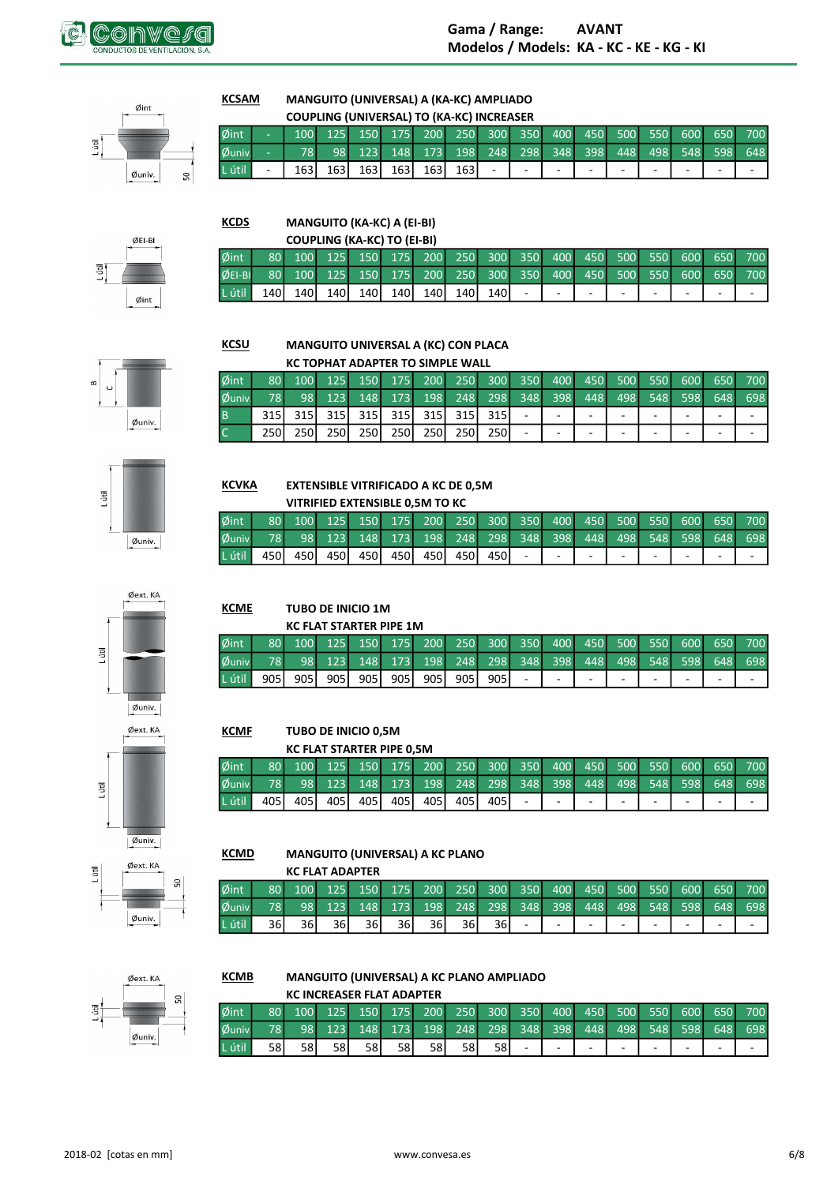



#### **KCSAM** MANGUITO (UNIVERSAL) A (KA-KC) AMPLIADO

|                   |                          |       |     |  | COUPLING (UNIVERSAL) TO (KA-KC) INCREASER |       |        |   |   |   |   |                                                             |  |
|-------------------|--------------------------|-------|-----|--|-------------------------------------------|-------|--------|---|---|---|---|-------------------------------------------------------------|--|
| Øint              |                          |       |     |  |                                           |       |        |   |   |   |   | 100 125 150 175 200 250 300 350 400 450 500 550 600 650 700 |  |
| $\emptyset$ univ. |                          |       |     |  |                                           |       |        |   |   |   |   | 78 98 123 148 173 198 248 298 348 398 448 498 548 598 648   |  |
| L útil            | $\overline{\phantom{a}}$ | 163 I | 163 |  | 163 163 163                               | 163 l | $\sim$ | - | - | - | - | -                                                           |  |

ØEI-BI L útil

Øint

## **KCDS** MANGUITO (KA-KC) A (EI-BI)

|            |       |       | <b>COUPLING (KA-KC) TO (EI-BI)</b> |                                                                |         |       |            |        |   |        |    |   |        |
|------------|-------|-------|------------------------------------|----------------------------------------------------------------|---------|-------|------------|--------|---|--------|----|---|--------|
| $\phi$ int |       |       |                                    | 80 100 125 150 175 200 250 300 350 400 450 500 550 600 650 700 |         |       |            |        |   |        |    |   |        |
| OEIBI      |       |       |                                    | 80 100 125 150 175 200 250 300 350 400 450 500 550 600 650 700 |         |       |            |        |   |        |    |   |        |
| L útil     | 140 l | 140 I | 140 140 140                        |                                                                | 140 140 | 140 l | $\sim 100$ | $\sim$ | ٠ | $\sim$ | ۰. | ٠ | $\sim$ |





KC TOPHAT ADAPTER TO SIMPLE WALL  $\phi$ int Øuniv  $\overline{B}$  $\overline{a}$ L. L J.  $\overline{a}$  $\overline{a}$  $\overline{c}$  $\mathbb{Z}$  $\omega_{\rm c}$  $\omega$  $\mathbb{Z}$  $\omega$  $\omega$  $\Box$  $\omega$ 



## **KCVKA EXTENSIBLE VITRIFICADO A KC DE 0,5M**

TUBO DE INICIO 1M **KC FLAT STARTER PIPE 1M** 

TUBO DE INICIO 0,5M **KC FLAT STARTER PIPE 0,5M** 

|            |                  |              | VITRIFIED EXTENSIBLE 0.5M TO KC |  |             |       |       |        |                |                          |                          |                                                             |
|------------|------------------|--------------|---------------------------------|--|-------------|-------|-------|--------|----------------|--------------------------|--------------------------|-------------------------------------------------------------|
| $\phi$ int | 80 <sup>1</sup>  |              |                                 |  |             |       |       |        |                |                          |                          | 100 125 150 175 200 250 300 350 400 450 500 550 600 650 700 |
| Øuniv.     | 78               |              |                                 |  |             |       |       |        |                |                          |                          | 98 123 148 173 198 248 298 348 398 448 498 548 598 648 698  |
| L útil     | 450 <sup> </sup> | 450 <b>J</b> | 450 l                           |  | 450 450 450 | 450 l | 450 l | $\sim$ | $\blacksquare$ | $\overline{\phantom{a}}$ | $\overline{\phantom{a}}$ |                                                             |

 $\overline{a}$ 

 $\ddot{\phantom{a}}$ 

 $\overline{a}$ 



# L útil  $q$ univ.



Øint Øuniv L útil 

**KCME** 

Øint

Øuniv L útil

**KCMF** 

#### **KCMD MANGUITO (UNIVERSAL) A KC PLANO**

|         |                 |    | <b>KC FLAT ADAPTER</b> |                                                                       |     |     |                             |      |                          |   |    |     |     |                          |     |             |
|---------|-----------------|----|------------------------|-----------------------------------------------------------------------|-----|-----|-----------------------------|------|--------------------------|---|----|-----|-----|--------------------------|-----|-------------|
| Øint    | 80 <sup>1</sup> |    |                        | 100   125   150   175   200   250   300   350   400   450   500   550 |     |     |                             |      |                          |   |    |     |     |                          |     | 600 650 700 |
| Øuniv.  | 78              | 98 |                        | 123 148                                                               |     |     | 173 198 248 298 348 398 448 |      |                          |   |    | 498 | 548 | 598                      | 648 | 698         |
| L útil. | 36 I            | 36 | 36I                    | 36 I                                                                  | 36I | 36I | 36 I                        | 36 I | $\overline{\phantom{a}}$ | - | ۰. | -   | -   | $\overline{\phantom{0}}$ | -   | $\sim$      |



#### **KCMB** MANGUITO (UNIVERSAL) A KC PLANO AMPLIADO

|        |                 |      |     |      | <b>KC INCREASER FLAT ADAPTER</b> |                                                         |      |    |   |        |   |   |   |                     |   |                          |
|--------|-----------------|------|-----|------|----------------------------------|---------------------------------------------------------|------|----|---|--------|---|---|---|---------------------|---|--------------------------|
| Øint   | 80 <sup>1</sup> | 100  |     |      |                                  | 125 150 175 200 250 300 350 400 450 500 550 600 650 700 |      |    |   |        |   |   |   |                     |   |                          |
| Øuniv. |                 |      | 123 |      |                                  | 148 173 198 248 298 348 398 448                         |      |    |   |        |   |   |   | 498 548 598 648 698 |   |                          |
| L útil | 58 I            | 58 I | 58  | 58 I | 58 I                             | 58 I                                                    | 58 I | 58 | - | $\sim$ | - | - | - | -                   | - | $\overline{\phantom{a}}$ |



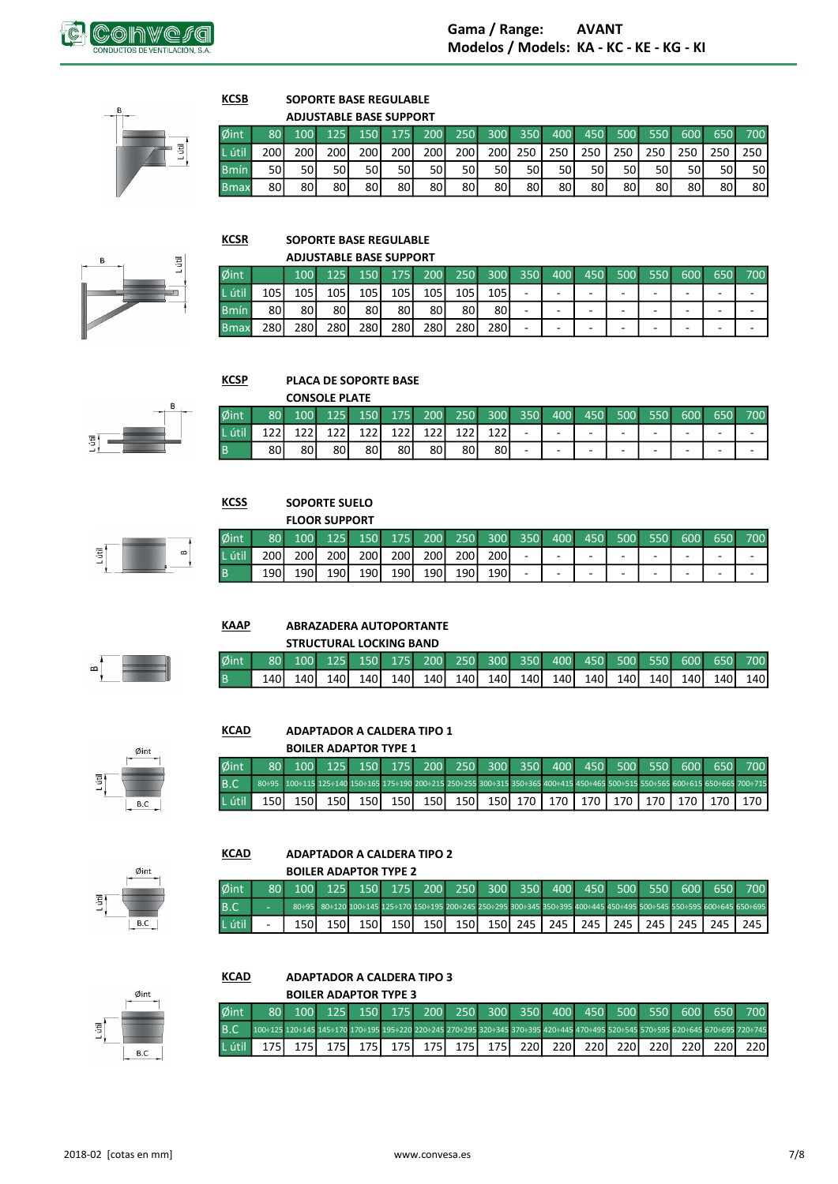

Ē

### **KCSB SOPORTE BASE REGULABLE ADJUSTARLE RASE SUPPORT**

|             |                  |                  |       | AUJUSTABLE BASE SUPPURT |     |                  |                  |                  |         |      |         |      |      |     |      |         |
|-------------|------------------|------------------|-------|-------------------------|-----|------------------|------------------|------------------|---------|------|---------|------|------|-----|------|---------|
| Øint        | 80 <sup>1</sup>  | 100 <sup>1</sup> | 125   | 150                     |     | 175 200          | <b>250</b>       |                  | 300 350 |      | 400 450 | 500  | 550  | 600 |      | 650 700 |
| L útil      | 200 <sup>1</sup> | 200 l            | 200 l | 200 l                   | 200 | 200 <sup>1</sup> | 200 <sup>1</sup> | 200 <sup>1</sup> | 250     | 250  | 250     | 250  | 250  | 250 | 250  | 250     |
| <b>Bmín</b> | 50l              | 50 l             | 50    | 50 l                    | 50l | 50l              | 50 l             | 50 l             | 50 l    | 50 l | 50 l    | 50 l | 50 l | 50  | 50 l | 50I     |
| <b>Bmax</b> | 80 I             | 80               | 80    | 80                      | 80  | 80               | 80 l             | 80               | 80      | 80   | 80      | 80   | 801  | 80  | 80 I | 80      |

**KCSR** 

 $\frac{\emptyset}{B}$ 

厝

## **SOPORTE BASE REGULABLE**

|              |       |     | <b>ADJUSTABLE BASE SUPPORT</b> |     |     |     |     |                  |                          |     |                          |     |     |            |     |        |
|--------------|-------|-----|--------------------------------|-----|-----|-----|-----|------------------|--------------------------|-----|--------------------------|-----|-----|------------|-----|--------|
| Øint         |       | 100 | 125 <sup>1</sup>               | 150 | 175 | 200 | 250 | 300 <sup>°</sup> | 350                      | 400 | 450                      | 500 | 550 | <b>600</b> | 650 | 700    |
| útil         | 105   | 105 | 105                            | 105 | 105 | 105 | 105 | 105              | $\overline{\phantom{0}}$ | -   | -                        |     | -   | -          | -   | -      |
| <b>Bmín</b>  | 80 I  | 80  | 80 I                           | 80  | 80  | 801 | 80  | 80               | -                        | -   | -                        |     | -   | -          | -   | $\sim$ |
| <b>B</b> max | 280 l | 280 | 2801                           | 280 | 280 | 280 | 280 | <b>2801</b>      | -                        | -   | $\overline{\phantom{0}}$ |     | -   | -          | -   | $\sim$ |



#### **KCSP PLACA DE SOPORTE BASE**

|            |    |      | <b>CONSOLE PLATE</b> |     |     |     |     |     |     |     |                          |     |                          |                          |     |                          |
|------------|----|------|----------------------|-----|-----|-----|-----|-----|-----|-----|--------------------------|-----|--------------------------|--------------------------|-----|--------------------------|
| $\phi$ int | 80 | 100  | 125                  | 150 | 175 | 200 | 250 | 300 | 350 | 400 | 450                      | 500 | 550                      | 600                      | 650 | 700                      |
| L útil     |    |      | 177                  |     | 12  | າາ  |     | າາາ | -   | -   | -                        | -   | $\overline{\phantom{0}}$ | $\overline{\phantom{0}}$ | -   | $\overline{\phantom{a}}$ |
| B          | 80 | 80 l | 80                   | 80  | 80  | 80  | 80  | 80  | -   | -   | $\overline{\phantom{a}}$ | -   | $\overline{\phantom{0}}$ | $\overline{\phantom{a}}$ | -   | $\overline{\phantom{a}}$ |



## **KCSS SOPORTE SUELO** .<br>המתחוום קר

|        |                  |       | <b>FLOOR SUPPORT</b> |                  |                  |                  |                  |                  |                          |     |              |     |     |     |     |     |
|--------|------------------|-------|----------------------|------------------|------------------|------------------|------------------|------------------|--------------------------|-----|--------------|-----|-----|-----|-----|-----|
| Øint   | 80 <sub>1</sub>  | 100   | 125                  | 150              | 175              | 200              | 250              | 300 <sup>1</sup> | 350                      | 400 | $\sqrt{450}$ | 500 | 550 | 600 | 650 | 700 |
| L útil | 200 <sup>1</sup> | 200 l | 200 <sup>1</sup>     | 200 <sup>1</sup> | 200 <sup>1</sup> | 200 <sup>1</sup> | 200 l            | 200              | $\overline{\phantom{0}}$ | -   | -            | -   |     | -   | -   | -   |
|        | 190              | 1901  | 190                  | 190 <sup> </sup> | 190 l            | 190 <sup>I</sup> | 190 <sup> </sup> | 190              | -                        | -   | -            | -   |     | -   | -   | -   |



#### **KAAP ABRAZADERA AUTOPORTANTE**

|  |  | <b>STRUCTURAL LOCKING BAND</b> |  |  |  |  |  |                                                                |
|--|--|--------------------------------|--|--|--|--|--|----------------------------------------------------------------|
|  |  |                                |  |  |  |  |  | 80 100 125 150 175 200 250 300 350 400 450 500 550 600 650 700 |
|  |  | 140 140 140 140                |  |  |  |  |  |                                                                |



#### **KCAD ADAPTADOR A CALDERA TIPO 1**

**BOILER ADAPTOR TYPE 1** 

| $\delta$ int $\Box$ |  |  |  |  |  |  |  | 80 100 125 150 175 200 250 300 350 400 450 500 550 600 650 700                                     |
|---------------------|--|--|--|--|--|--|--|----------------------------------------------------------------------------------------------------|
| 3.C.                |  |  |  |  |  |  |  |                                                                                                    |
|                     |  |  |  |  |  |  |  | útil   150   150   150   150   150   150   150   150   170   170   170   170   170   170   170   1 |



 $\mathsf B.\mathsf C$ 

#### **KCAD ADAPTADOR A CALDERA TIPO 2**

|         |   |       | <b>BOILER ADAPTOR TYPE 2</b>   |       |       |       |                                     |           |     |       |       |     |       |       |                                                                                                                      |
|---------|---|-------|--------------------------------|-------|-------|-------|-------------------------------------|-----------|-----|-------|-------|-----|-------|-------|----------------------------------------------------------------------------------------------------------------------|
| Øint    |   |       | $100$ 125 150 $\overline{100}$ |       |       |       | 175 200 250 300 350 400 450 500 550 |           |     |       |       |     | 600   | 650 L | 700                                                                                                                  |
| B.C     | - |       |                                |       |       |       |                                     |           |     |       |       |     |       |       | 80+95 80+120 100+145 125+170 150+195 200+245 250+295 300+345 350+395 400+445 450+495 500+545 550+595 600+645 650+695 |
| L útil. |   | 150 l | 150 <sup>I</sup>               | 150 l | 150 l | 150 l |                                     | 150   245 | 245 | 245 I | 245 I | 245 | 245 I | 245   | 245                                                                                                                  |

Øint

### **KCAD ADAPTADOR A CALDERA TIPO 3 BOILER ADAPTOR TYPE 3**

|            |                                                                                                                                 | <b>BUILER ADAPTOR TYPE 3</b> |  |                                                                |  |  |  |  |  |
|------------|---------------------------------------------------------------------------------------------------------------------------------|------------------------------|--|----------------------------------------------------------------|--|--|--|--|--|
| $\phi$ int |                                                                                                                                 |                              |  | 80 100 125 150 175 200 250 300 350 400 450 500 550 600 650 700 |  |  |  |  |  |
| R C        | 100+125 120+145 145+170 170+195 195+220 220+245 270+295 320+345 370+395 420+445 470+495 520+545 570+595 620+645 670+695 720+745 |                              |  |                                                                |  |  |  |  |  |
| Lútil.     | 175 l                                                                                                                           |                              |  |                                                                |  |  |  |  |  |



Lútil